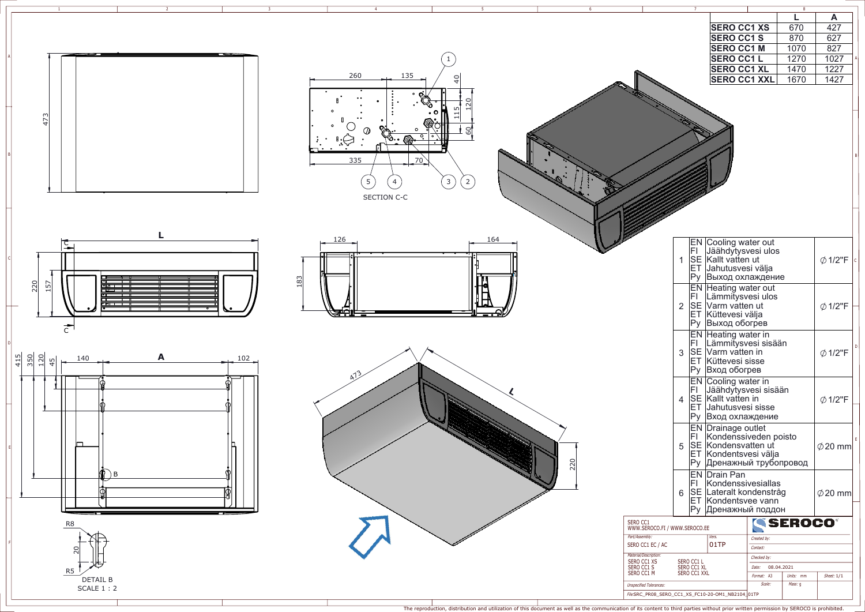|                                                               |                | 7            |                                                                                                                                   |                                         | $\overline{8}$ |      |   |
|---------------------------------------------------------------|----------------|--------------|-----------------------------------------------------------------------------------------------------------------------------------|-----------------------------------------|----------------|------|---|
|                                                               |                |              |                                                                                                                                   |                                         |                | A    |   |
|                                                               |                |              |                                                                                                                                   |                                         |                |      |   |
|                                                               |                |              | <b>SERO CC1 XS</b>                                                                                                                |                                         | 670            | 427  |   |
|                                                               |                |              | <b>SERO CC1 S</b>                                                                                                                 |                                         | 870            | 627  |   |
|                                                               |                |              | <b>SERO CC1 M</b>                                                                                                                 |                                         | 1070           | 827  |   |
|                                                               |                |              | <b>SERO CC1 L</b>                                                                                                                 |                                         | 1270           | 1027 | Α |
|                                                               |                |              |                                                                                                                                   |                                         |                |      |   |
|                                                               |                |              | <b>SERO CC1 XL</b>                                                                                                                |                                         | 1470           | 1227 |   |
|                                                               |                |              | <b>SERO CC1 XXL</b>                                                                                                               |                                         | 1670           | 1427 |   |
|                                                               |                |              |                                                                                                                                   |                                         |                |      |   |
|                                                               |                |              |                                                                                                                                   |                                         |                |      | B |
|                                                               |                |              | EN Cooling water out                                                                                                              |                                         |                |      |   |
|                                                               | $\mathbf 1$    |              | FI Jäähdytysvesi ulos<br>SE Kallt vatten ut<br>ET Jahutusvesi välja<br>Ру Выход охлаждение                                        | $\oslash$ 1/2"F                         | $\mathsf{C}$   |      |   |
|                                                               | $\overline{2}$ | FI.<br>Py    | EN Heating water out<br>Lämmitysvesi ulos<br>SE Varm vatten ut<br>ET Küttevesi välja<br>Выход обогрев                             | <b>Ø1/2"F</b>                           |                |      |   |
|                                                               | 3              |              | EN Heating water in<br>FI Lämmitysvesi sisään<br>SE Varm vatten in<br>ET Küttevesi sisse<br>Ру Вход обогрев                       | $\emptyset$ 1/2"F                       | D              |      |   |
|                                                               | 4              |              | EN Cooling water in<br>FI Jäähdytysvesi sisään<br>SE Kallt vatten in<br>ET Jahutusvesi sisse<br>Ру Вход охлаждение                | $\emptyset$ 1/2"F                       |                |      |   |
|                                                               | 5              |              | <b>EN Drainage outlet</b><br>FI Kondenssiveden poisto<br>SE Kondensvatten ut<br>ET Kondentsvesi välja<br>Ру Дренажный трубопровод | $\emptyset$ 20 mm                       | E              |      |   |
|                                                               | 6              | Py           | <b>EN Drain Pan</b><br>FI Kondenssivesiallas<br>SE Lateralt kondenstråg<br>ET Kondentsvee vann<br> Дренажный поддон               | $\oslash$ 20 mm                         |                |      |   |
| SERO CC1<br>WWW.SEROCO.FI / WWW.SEROCO.EE                     |                |              |                                                                                                                                   |                                         | <b>SEROCO®</b> |      |   |
| Part/Assembly:<br>SERO CC1 EC / AC                            |                |              | Vers.<br>01TP                                                                                                                     | Created by:<br>Contact:                 |                |      |   |
| Material/Description:                                         |                |              |                                                                                                                                   | Checked by:                             |                |      |   |
| SERO CC1 XS<br>SERO CC1 L<br>SERO CC1 S<br><b>SERO CC1 XL</b> |                |              |                                                                                                                                   | Date:                                   | 08.04.2021     |      |   |
| SERO CC1 M                                                    |                | SERO CC1 XXL |                                                                                                                                   | Format: A3<br>Units: mm<br>Sheet: $1/1$ |                |      |   |
| <b>Unspecified Tolerances:</b>                                |                |              | Scale:                                                                                                                            |                                         |                |      |   |
|                                                               |                |              |                                                                                                                                   |                                         | Mass: g        |      |   |
| <i>File:</i> SRC_PR08_SERO_CC1_XS_FC10-20-OM1_NB2104_ 01TP    |                |              |                                                                                                                                   |                                         |                |      |   |

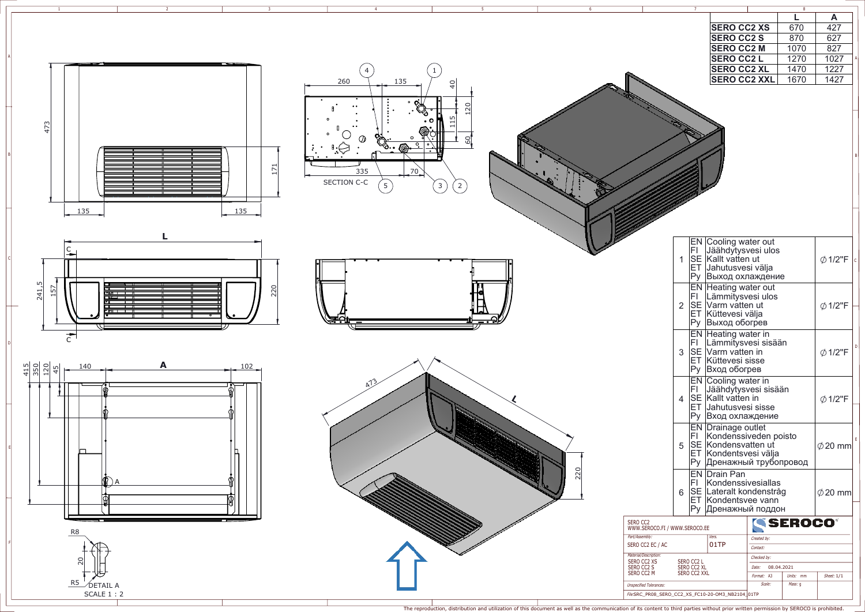





R5\_\_\_⁄DETAIL A SCALE 1 : 2

--

140 **<sup>A</sup>**102 A

 $\frac{45}{35}$   $\frac{5}{25}$   $\frac{4}{35}$ 

 $\bf{L}$ 

B<br>D<br>D<br>F<br>F

20

R8







|                                                                  |                | 7                                         |                                                                                                                         |                                    | $\overline{8}$          |              |   |
|------------------------------------------------------------------|----------------|-------------------------------------------|-------------------------------------------------------------------------------------------------------------------------|------------------------------------|-------------------------|--------------|---|
|                                                                  |                |                                           |                                                                                                                         |                                    | L                       | A            |   |
|                                                                  |                |                                           | <b>SERO CC2 XS</b>                                                                                                      |                                    | 670                     | 427          |   |
|                                                                  |                |                                           |                                                                                                                         |                                    |                         |              |   |
|                                                                  |                |                                           | <b>SERO CC2 S</b>                                                                                                       |                                    | 870                     | 627          |   |
|                                                                  |                |                                           | <b>SERO CC2 M</b>                                                                                                       |                                    | 1070                    | 827          |   |
|                                                                  |                |                                           | <b>SERO CC2 L</b>                                                                                                       |                                    | 1270                    | 1027         | A |
|                                                                  |                |                                           | <b>SERO CC2 XL</b>                                                                                                      |                                    | 1470                    | 1227         |   |
|                                                                  |                |                                           | <b>SERO CC2 XXL</b>                                                                                                     |                                    | 1670                    | 1427         |   |
|                                                                  |                |                                           |                                                                                                                         |                                    |                         |              | B |
|                                                                  |                |                                           |                                                                                                                         |                                    |                         |              |   |
|                                                                  | $\mathbf{1}$   |                                           | EN Cooling water out<br>FI Jäähdytysvesi ulos<br>SE Kallt vatten ut<br>ET Jahutusvesi välja<br>Ру Выход охлаждение      | <b>Ø1/2"F</b>                      | lc                      |              |   |
|                                                                  | $\overline{2}$ | FI.<br>Py                                 | <b>EN Heating water out</b><br>Lämmitysvesi ulos<br>SE Varm vatten ut<br>ET Küttevesi välja<br>Выход обогрев            | <b>Ø1/2"F</b>                      |                         |              |   |
|                                                                  | 3              |                                           | <b>EN Heating water in</b><br>FI Lämmitysvesi sisään<br>SE Varm vatten in<br>ET Küttevesi sisse<br>Ру Вход обогрев      | $\emptyset$ 1/2"F                  | D                       |              |   |
|                                                                  | 4              |                                           | EN Cooling water in<br>FI Jäähdytysvesi sisään<br>SE Kallt vatten in<br>ET Jahutusvesi sisse<br>Ру Вход охлаждение      |                                    | $\emptyset$ 1/2"F       |              |   |
|                                                                  | 5              | FI.                                       | EN Drainage outlet<br>Kondenssiveden poisto<br>SE Kondensvatten ut<br>ET Kondentsvesi välja<br>Ру Дренажный трубопровод | $\emptyset$ 20 mm                  | E                       |              |   |
|                                                                  | 6              |                                           | <b>EN Drain Pan</b><br>FI Kondenssivesiallas<br>SE Lateralt kondenstråg<br>ET Kondentsvee vann<br>Ру Дренажный поддон   | $\oslash$ 20 mm                    |                         |              |   |
| SERO CC2<br>WWW.SEROCO.FI / WWW.SEROCO.EE                        |                |                                           |                                                                                                                         |                                    | <b>SEROCO</b> ®         |              |   |
| Part/Assembly:<br>SERO CC2 EC / AC                               |                |                                           | Vers.<br>01TP                                                                                                           | Created by:<br>Contact:            |                         |              |   |
| Material/Description:<br>SERO CC2 XS<br>SERO CC2 S<br>SERO CC2 M |                | SERO CC2 L<br>SERO CC2 XL<br>SERO CC2 XXL |                                                                                                                         | Checked by:<br>Date:<br>Format: A3 | 08.04.2021<br>Units: mm | Sheet: $1/1$ |   |
| <b>Unspecified Tolerances:</b>                                   |                |                                           | Scale:                                                                                                                  | Mass: g                            |                         |              |   |
| <i>File:</i> SRC_PR08_SERO_CC2_XS_FC10-20-OM3_NB2104_ 01TP       |                |                                           |                                                                                                                         |                                    |                         |              |   |

The reproduction, distribution and utilization of this document as well as the communication of its content to third parties without prior written permission by SEROCO is prohibited.

5

6

2

3

4

A

1

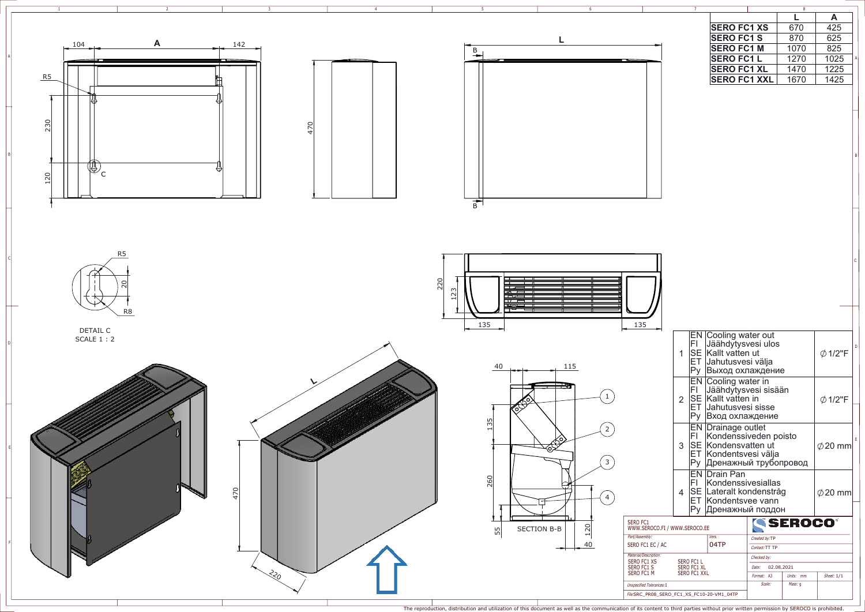

| 6                |                                                         |                | 7   |                                                                                                                                |                               |               | $\overline{\overline{\overline{8}}}$ |                   |             |
|------------------|---------------------------------------------------------|----------------|-----|--------------------------------------------------------------------------------------------------------------------------------|-------------------------------|---------------|--------------------------------------|-------------------|-------------|
|                  |                                                         |                |     |                                                                                                                                |                               |               | L                                    | A                 |             |
|                  |                                                         |                |     | <b>SERO FC1 XS</b>                                                                                                             |                               |               | 670                                  | 425               |             |
|                  |                                                         |                |     | <b>SERO FC1 S</b>                                                                                                              |                               |               | 870                                  | 625               |             |
|                  |                                                         |                |     | <b>SERO FC1 M</b>                                                                                                              |                               |               | 1070                                 | 825               |             |
|                  |                                                         |                |     | <b>SERO FC1L</b>                                                                                                               |                               |               | 1270                                 | 1025              | Α           |
|                  |                                                         |                |     | <b>SERO FC1 XL</b>                                                                                                             |                               |               | 1470                                 | 1225              |             |
|                  |                                                         |                |     |                                                                                                                                |                               |               |                                      |                   |             |
|                  |                                                         |                |     | <b>SERO FC1 XXL</b>                                                                                                            |                               |               | 1670                                 | 1425              |             |
|                  |                                                         |                |     |                                                                                                                                |                               |               |                                      |                   |             |
|                  |                                                         |                |     |                                                                                                                                |                               |               |                                      |                   |             |
|                  |                                                         |                |     |                                                                                                                                |                               |               |                                      |                   | B           |
| ╧╪╧╪╪╪╪╪╪╪╪<br>L |                                                         |                |     |                                                                                                                                |                               |               |                                      |                   | $\mathsf C$ |
|                  | 135                                                     |                |     |                                                                                                                                |                               |               |                                      |                   |             |
|                  |                                                         | 1              | FI. | EN Cooling water out<br>Jäähdytysvesi ulos<br>SE Kallt vatten ut<br>ET Jahutusvesi välja<br>Ру Выход охлаждение                |                               |               |                                      | $\emptyset$ 1/2"F | D           |
| 1                |                                                         | $\overline{2}$ | FI. | <b>EN Cooling water in</b><br>Jäähdytysvesi sisään<br>SE Kallt vatten in<br>ET Jahutusvesi sisse<br>Ру Вход охлаждение         |                               |               |                                      | $\emptyset$ 1/2"F |             |
| 2<br>3           |                                                         | 3              | FL. | <b>EN Drainage outlet</b><br>Kondenssiveden poisto<br>SE Kondensvatten ut<br>ET Kondentsvesi välja<br>Ру Дренажный трубопровод |                               |               |                                      | $\oslash$ 20 mm   | E           |
| 4                |                                                         | 4              | Py  | <b>EN Drain Pan</b><br>FI Kondenssivesiallas<br>SE Lateralt kondenstråg<br>ET Kondentsvee vann<br>Дренажный поддон             |                               |               |                                      | $\oslash$ 20 mm   |             |
|                  | <b>SERO FC1</b>                                         |                |     |                                                                                                                                |                               |               | <b>SEROCO</b>                        |                   |             |
|                  | WWW.SEROCO.FI / WWW.SEROCO.EE                           |                |     |                                                                                                                                |                               |               |                                      |                   |             |
|                  | Part/Assembly:<br>SERO FC1 EC / AC                      |                |     | Vers.<br>04TP                                                                                                                  |                               | Created by:TP |                                      |                   |             |
|                  |                                                         |                |     |                                                                                                                                | Contact: TT TP<br>Checked by: |               |                                      |                   |             |
|                  | Material/Description:<br>SERO FC1 L<br>SERO FC1 XS      |                |     |                                                                                                                                |                               |               |                                      |                   |             |
|                  | SERO FC1 S<br>SERO FC1 XL<br>SERO FC1 M<br>SERO FC1 XXL |                |     |                                                                                                                                | Date:                         | 02.08.2021    |                                      |                   |             |
|                  |                                                         |                |     |                                                                                                                                | Format: A3                    | Scale:        | Units: mm<br>Mass: g                 | Sheet: $1/1$      |             |
|                  | <b>Unspecified Tolerances: I</b>                        |                |     |                                                                                                                                |                               |               |                                      |                   |             |
|                  | File.SRC_PR08_SERO_FC1_XS_FC10-20-VM1_04TP              |                |     |                                                                                                                                |                               |               |                                      |                   |             |

5

2 3 4

A

1

The reproduction, distribution and utilization of this document as well as the communication of its content to third parties without prior written permission by SEROCO is prohibited.

B

C

D

E

F